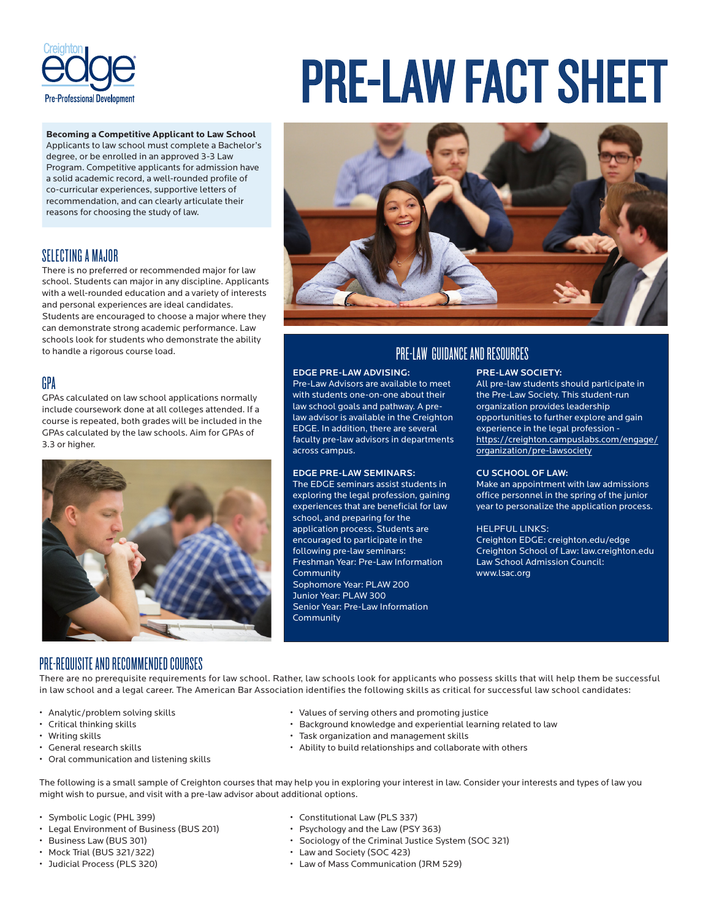

# PRE-LAW FACT SHEET

  **Becoming a Competitive Applicant to Law School** Applicants to law school must complete a Bachelor's degree, or be enrolled in an approved 3-3 Law Program. Competitive applicants for admission have a solid academic record, a well-rounded profile of co-curricular experiences, supportive letters of recommendation, and can clearly articulate their reasons for choosing the study of law.

# SELECTING A MAJOR

There is no preferred or recommended major for law school. Students can major in any discipline. Applicants with a well-rounded education and a variety of interests and personal experiences are ideal candidates. Students are encouraged to choose a major where they can demonstrate strong academic performance. Law schools look for students who demonstrate the ability to handle a rigorous course load.

# GPA

GPAs calculated on law school applications normally include coursework done at all colleges attended. If a course is repeated, both grades will be included in the GPAs calculated by the law schools. Aim for GPAs of 3.3 or higher.





# PRE-LAW GUIDANCE AND RESOURCES

# EDGE PRE-LAW ADVISING:

Pre-Law Advisors are available to meet with students one-on-one about their law school goals and pathway. A prelaw advisor is available in the Creighton EDGE. In addition, there are several faculty pre-law advisors in departments across campus.

### EDGE PRE-LAW SEMINARS:

The EDGE seminars assist students in exploring the legal profession, gaining experiences that are beneficial for law school, and preparing for the application process. Students are encouraged to participate in the following pre-law seminars: Freshman Year: Pre-Law Information **Community** Sophomore Year: PLAW 200 Junior Year: PLAW 300 Senior Year: Pre-Law Information Community

## PRE-LAW SOCIETY:

All pre-law students should participate in the Pre-Law Society. This student-run organization provides leadership opportunities to further explore and gain experience in the legal profession https://creighton.campuslabs.com/engage/ organization/pre-lawsociety

# CU SCHOOL OF LAW:

Make an appointment with law admissions office personnel in the spring of the junior year to personalize the application process.

# HELPFUL LINKS:

Creighton EDGE: creighton.edu/edge Creighton School of Law: law.creighton.edu Law School Admission Council: www.lsac.org

# PRE-REQUISITE AND RECOMMENDED COURSES

There are no prerequisite requirements for law school. Rather, law schools look for applicants who possess skills that will help them be successful in law school and a legal career. The American Bar Association identifies the following skills as critical for successful law school candidates:

- 
- 
- 
- 
- Oral communication and listening skills
- Analytic/problem solving skills Values of serving others and promoting justice
- Critical thinking skills  **Background knowledge and experiential learning related to law**
- Writing skills  **Task organization and management skills** 
	- General research skills Ability to build relationships and collaborate with others

The following is a small sample of Creighton courses that may help you in exploring your interest in law. Consider your interests and types of law you might wish to pursue, and visit with a pre-law advisor about additional options.

- Symbolic Logic (PHL 399) Constitutional Law (PLS 337)
- Legal Environment of Business (BUS 201) Psychology and the Law (PSY 363)
- 
- 
- 
- 
- 
- Business Law (BUS 301) Sociology of the Criminal Justice System (SOC 321)
- Mock Trial (BUS 321/322) Law and Society (SOC 423)
- Judicial Process (PLS 320) Law of Mass Communication (JRM 529)